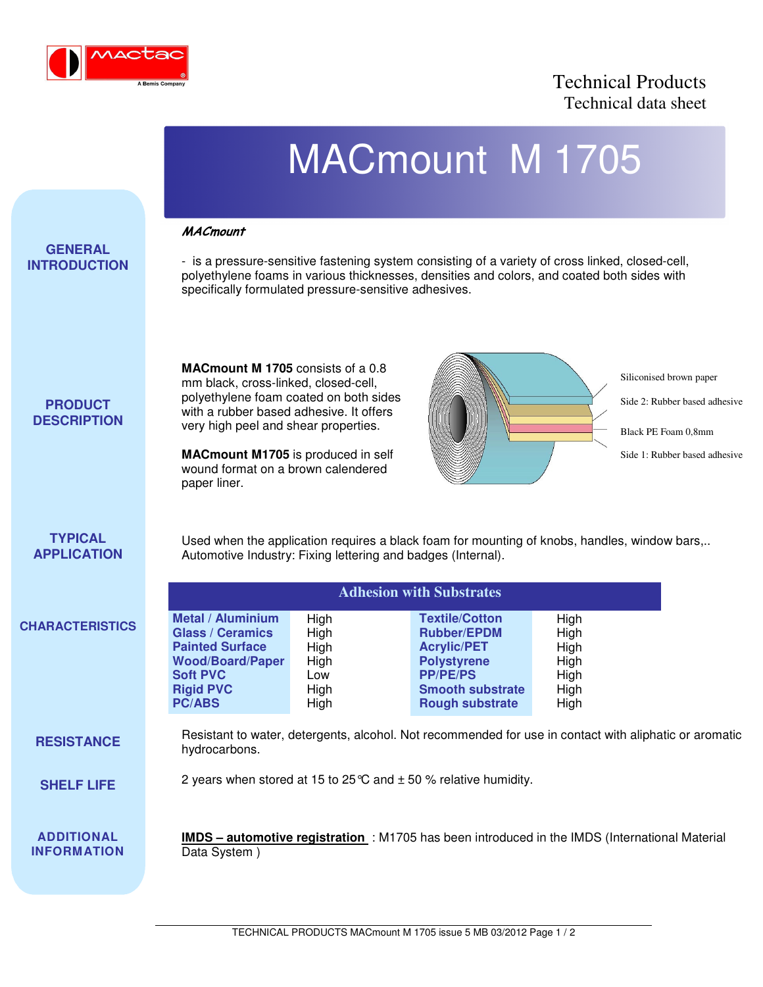

## Technical Products Technical data sheet

|                                         |                                                                                                                                                                                                                                                                                                           |                                                     | <b>MACmount M 1705</b>                                                                                                                                                                          |                                                      |                                                                                                                  |  |
|-----------------------------------------|-----------------------------------------------------------------------------------------------------------------------------------------------------------------------------------------------------------------------------------------------------------------------------------------------------------|-----------------------------------------------------|-------------------------------------------------------------------------------------------------------------------------------------------------------------------------------------------------|------------------------------------------------------|------------------------------------------------------------------------------------------------------------------|--|
| <b>GENERAL</b><br><b>INTRODUCTION</b>   | <b>MACmount</b><br>specifically formulated pressure-sensitive adhesives.                                                                                                                                                                                                                                  |                                                     | - is a pressure-sensitive fastening system consisting of a variety of cross linked, closed-cell,<br>polyethylene foams in various thicknesses, densities and colors, and coated both sides with |                                                      |                                                                                                                  |  |
| <b>PRODUCT</b><br><b>DESCRIPTION</b>    | <b>MACmount M 1705</b> consists of a 0.8<br>mm black, cross-linked, closed-cell,<br>polyethylene foam coated on both sides<br>with a rubber based adhesive. It offers<br>very high peel and shear properties.<br>MACmount M1705 is produced in self<br>wound format on a brown calendered<br>paper liner. |                                                     |                                                                                                                                                                                                 |                                                      | Siliconised brown paper<br>Side 2: Rubber based adhesive<br>Black PE Foam 0.8mm<br>Side 1: Rubber based adhesive |  |
| <b>TYPICAL</b><br><b>APPLICATION</b>    | Used when the application requires a black foam for mounting of knobs, handles, window bars,<br>Automotive Industry: Fixing lettering and badges (Internal).                                                                                                                                              |                                                     |                                                                                                                                                                                                 |                                                      |                                                                                                                  |  |
|                                         | <b>Adhesion with Substrates</b>                                                                                                                                                                                                                                                                           |                                                     |                                                                                                                                                                                                 |                                                      |                                                                                                                  |  |
| <b>CHARACTERISTICS</b>                  | <b>Metal / Aluminium</b><br><b>Glass / Ceramics</b><br><b>Painted Surface</b><br><b>Wood/Board/Paper</b><br><b>Soft PVC</b><br><b>Rigid PVC</b><br><b>PC/ABS</b>                                                                                                                                          | High<br>High<br>High<br>High<br>Low<br>High<br>High | <b>Textile/Cotton</b><br><b>Rubber/EPDM</b><br><b>Acrylic/PET</b><br><b>Polystyrene</b><br><b>PP/PE/PS</b><br><b>Smooth substrate</b><br><b>Rough substrate</b>                                 | High<br>High<br>High<br>High<br>High<br>High<br>High |                                                                                                                  |  |
| <b>RESISTANCE</b>                       | Resistant to water, detergents, alcohol. Not recommended for use in contact with aliphatic or aromatic<br>hydrocarbons.                                                                                                                                                                                   |                                                     |                                                                                                                                                                                                 |                                                      |                                                                                                                  |  |
| <b>SHELF LIFE</b>                       | 2 years when stored at 15 to 25 $\degree$ and $\pm$ 50 % relative humidity.                                                                                                                                                                                                                               |                                                     |                                                                                                                                                                                                 |                                                      |                                                                                                                  |  |
| <b>ADDITIONAL</b><br><b>INFORMATION</b> | <b>IMDS</b> - automotive registration : M1705 has been introduced in the IMDS (International Material<br>Data System)                                                                                                                                                                                     |                                                     |                                                                                                                                                                                                 |                                                      |                                                                                                                  |  |